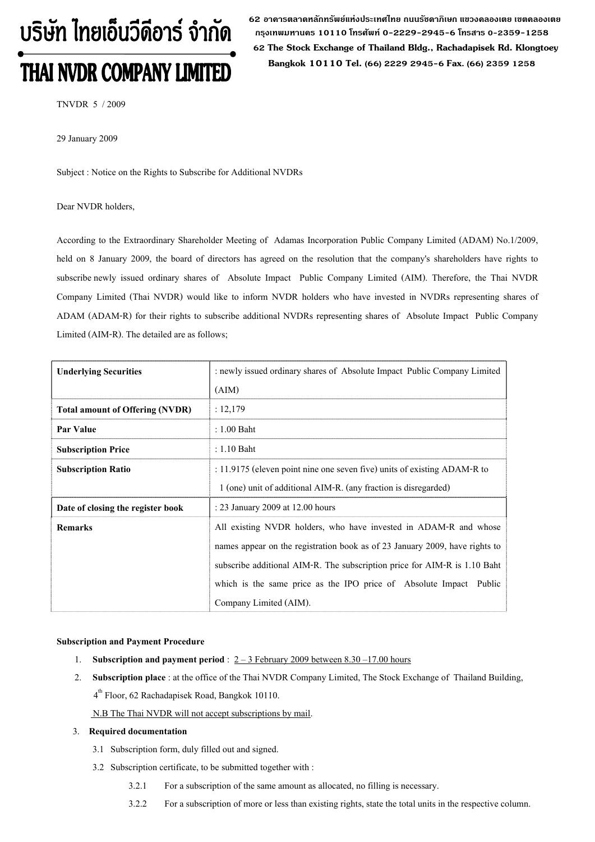# บริษัท ไทยเอ็นวีดีอาร์ จำกัด **THAI NVDR COMPANY LIMITED**

 **62 อาคารตลาดหลักทรัพยแหงประเทศไทย ถนนรัชดาภิเษก แขวงคลองเตย เขตคลองเตย กรุงเทพมหานคร 10110 โทรศัพท 0-2229-2945-6 โทรสาร 0-2359-1258 62 The Stock Exchange of Thailand Bldg., Rachadapisek Rd. Klongtoey Bangkok 10110 Tel. (66) 2229 2945-6 Fax. (66) 2359 1258**

TNVDR 5 / 2009

29 January 2009

Subject : Notice on the Rights to Subscribe for Additional NVDRs

#### Dear NVDR holders,

According to the Extraordinary Shareholder Meeting of Adamas Incorporation Public Company Limited (ADAM) No.1/2009, held on 8 January 2009, the board of directors has agreed on the resolution that the company's shareholders have rights to subscribe newly issued ordinary shares of Absolute Impact Public Company Limited (AIM). Therefore, the Thai NVDR Company Limited (Thai NVDR) would like to inform NVDR holders who have invested in NVDRs representing shares of ADAM (ADAM-R) for their rights to subscribe additional NVDRs representing shares of Absolute Impact Public Company Limited (AIM-R). The detailed are as follows;

| <b>Underlying Securities</b>           | : newly issued ordinary shares of Absolute Impact Public Company Limited    |  |  |  |
|----------------------------------------|-----------------------------------------------------------------------------|--|--|--|
|                                        | (AIM)                                                                       |  |  |  |
| <b>Total amount of Offering (NVDR)</b> | : 12,179                                                                    |  |  |  |
| Par Value                              | $: 1.00$ Baht                                                               |  |  |  |
| <b>Subscription Price</b>              | $: 1.10$ Baht                                                               |  |  |  |
| <b>Subscription Ratio</b>              | : 11.9175 (eleven point nine one seven five) units of existing ADAM-R to    |  |  |  |
|                                        | 1 (one) unit of additional AIM-R. (any fraction is disregarded)             |  |  |  |
| Date of closing the register book      | : 23 January 2009 at 12.00 hours                                            |  |  |  |
| <b>Remarks</b>                         | All existing NVDR holders, who have invested in ADAM-R and whose            |  |  |  |
|                                        | names appear on the registration book as of 23 January 2009, have rights to |  |  |  |
|                                        | subscribe additional AIM-R. The subscription price for AIM-R is 1.10 Baht   |  |  |  |
|                                        | which is the same price as the IPO price of Absolute Impact<br>Public       |  |  |  |
|                                        | Company Limited (AIM).                                                      |  |  |  |

#### **Subscription and Payment Procedure**

- 1. **Subscription and payment period** :  $2 3$  February 2009 between 8.30 –17.00 hours
- 2. **Subscription place** : at the office of the Thai NVDR Company Limited, The Stock Exchange of Thailand Building, 4<sup>th</sup> Floor, 62 Rachadapisek Road, Bangkok 10110.

N.B The Thai NVDR will not accept subscriptions by mail.

#### 3. **Required documentation**

- 3.1 Subscription form, duly filled out and signed.
- 3.2 Subscription certificate, to be submitted together with :
	- 3.2.1 For a subscription of the same amount as allocated, no filling is necessary.
	- 3.2.2 For a subscription of more or less than existing rights, state the total units in the respective column.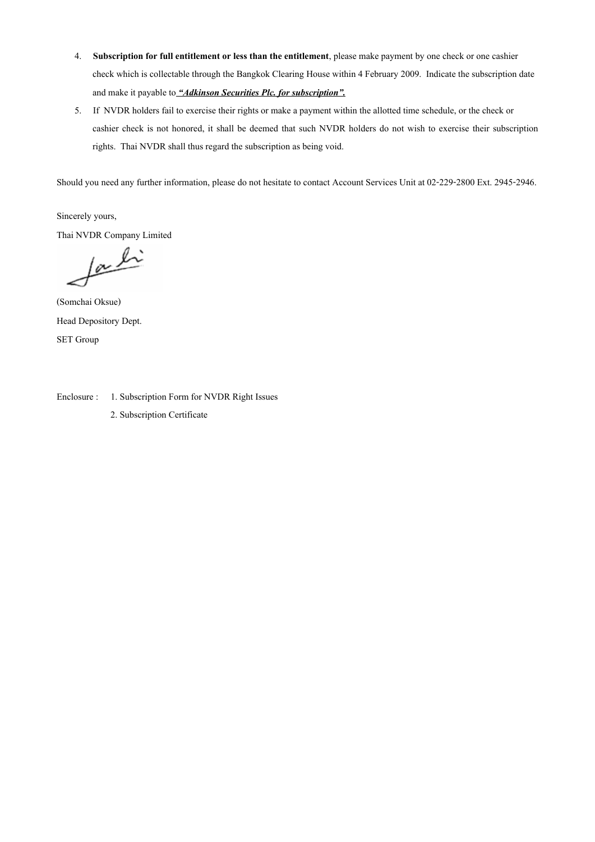- 4. **Subscription for full entitlement or less than the entitlement**, please make payment by one check or one cashier check which is collectable through the Bangkok Clearing House within 4 February 2009. Indicate the subscription date and make it payable to *"Adkinson Securities Plc. for subscription".*
- 5. If NVDR holders fail to exercise their rights or make a payment within the allotted time schedule, or the check or cashier check is not honored, it shall be deemed that such NVDR holders do not wish to exercise their subscription rights. Thai NVDR shall thus regard the subscription as being void.

Should you need any further information, please do not hesitate to contact Account Services Unit at 02-229-2800 Ext. 2945-2946.

Sincerely yours, Thai NVDR Company Limited

 $\sqrt{\alpha}$ 

(Somchai Oksue) Head Depository Dept. SET Group

Enclosure : 1. Subscription Form for NVDR Right Issues 2. Subscription Certificate